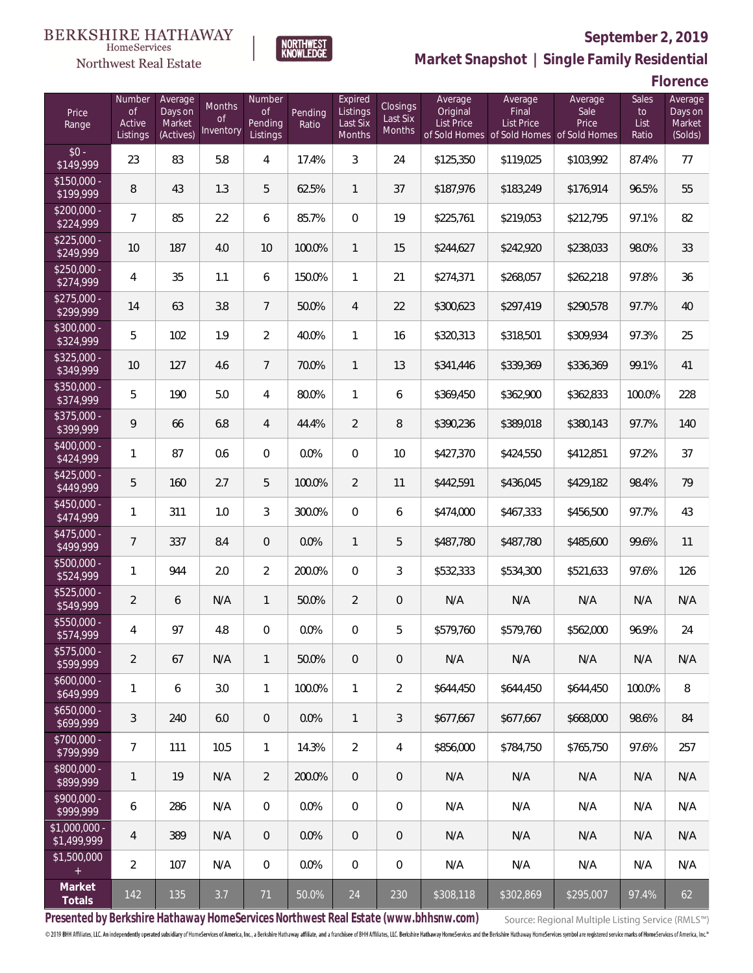### BERKSHIRE HATHAWAY HomeServices

# Northwest Real Estate



# **September 2, 2019**

**Market Snapshot | Single Family Residential**

**Florence**

| Price<br>Range                   | Number<br>of<br>Active<br>Listings | Average<br>Days on<br>Market<br>(Actives) | Months<br>0f<br>Inventory | Number<br>Οf<br>Pending<br>Listings | Pending<br>Ratio | Expired<br>Listings<br>Last Six<br><b>Months</b> | Closings<br>Last Six<br><b>Months</b> | Average<br>Original<br><b>List Price</b> | Average<br>Final<br>List Price<br>of Sold Homes of Sold Homes of Sold Homes | Average<br>Sale<br>Price | Sales<br>to<br>List<br>Ratio | Average<br>Days on<br>Market<br>(Solds) |
|----------------------------------|------------------------------------|-------------------------------------------|---------------------------|-------------------------------------|------------------|--------------------------------------------------|---------------------------------------|------------------------------------------|-----------------------------------------------------------------------------|--------------------------|------------------------------|-----------------------------------------|
| $$0 -$<br>\$149,999              | 23                                 | 83                                        | 5.8                       | 4                                   | 17.4%            | 3                                                | 24                                    | \$125,350                                | \$119,025                                                                   | \$103,992                | 87.4%                        | 77                                      |
| $$150.000 -$<br>\$199,999        | 8                                  | 43                                        | 1.3                       | 5                                   | 62.5%            | $\mathbf{1}$                                     | 37                                    | \$187,976                                | \$183,249                                                                   | \$176,914                | 96.5%                        | 55                                      |
| $\sqrt{$200,000}$ -<br>\$224,999 | $\overline{7}$                     | 85                                        | 2.2                       | 6                                   | 85.7%            | $\mathbf{0}$                                     | 19                                    | \$225,761                                | \$219,053                                                                   | \$212,795                | 97.1%                        | 82                                      |
| $$225,000 -$<br>\$249,999        | 10                                 | 187                                       | 4.0                       | 10                                  | 100.0%           | $\mathbf{1}$                                     | 15                                    | \$244,627                                | \$242,920                                                                   | \$238,033                | 98.0%                        | 33                                      |
| $$250,000 -$<br>\$274,999        | 4                                  | 35                                        | 1.1                       | 6                                   | 150.0%           | 1                                                | 21                                    | \$274,371                                | \$268,057                                                                   | \$262,218                | 97.8%                        | 36                                      |
| $$275,000 -$<br>\$299,999        | 14                                 | 63                                        | 3.8                       | $7\overline{ }$                     | 50.0%            | $\overline{4}$                                   | 22                                    | \$300,623                                | \$297,419                                                                   | \$290,578                | 97.7%                        | 40                                      |
| \$300,000 -<br>\$324,999         | 5                                  | 102                                       | 1.9                       | $\overline{2}$                      | 40.0%            | 1                                                | 16                                    | \$320,313                                | \$318,501                                                                   | \$309,934                | 97.3%                        | 25                                      |
| $$325,000 -$<br>\$349,999        | 10                                 | 127                                       | 4.6                       | $7\overline{ }$                     | 70.0%            | $\mathbf{1}$                                     | 13                                    | \$341,446                                | \$339,369                                                                   | \$336,369                | 99.1%                        | 41                                      |
| \$350,000 -<br>\$374,999         | 5                                  | 190                                       | 5.0                       | $\overline{4}$                      | 80.0%            | $\mathbf{1}$                                     | 6                                     | \$369,450                                | \$362,900                                                                   | \$362,833                | 100.0%                       | 228                                     |
| \$375,000 -<br>\$399,999         | 9                                  | 66                                        | 6.8                       | $\overline{4}$                      | 44.4%            | $\overline{2}$                                   | 8                                     | \$390,236                                | \$389,018                                                                   | \$380,143                | 97.7%                        | 140                                     |
| \$400,000 -<br>\$424,999         | 1                                  | 87                                        | 0.6                       | $\overline{0}$                      | 0.0%             | $\overline{0}$                                   | 10                                    | \$427,370                                | \$424,550                                                                   | \$412,851                | 97.2%                        | 37                                      |
| $$425,000 -$<br>\$449,999        | 5                                  | 160                                       | 2.7                       | 5                                   | 100.0%           | $\overline{2}$                                   | 11                                    | \$442,591                                | \$436,045                                                                   | \$429,182                | 98.4%                        | 79                                      |
| \$450,000 -<br>\$474,999         | 1                                  | 311                                       | 1.0                       | 3                                   | 300.0%           | $\overline{0}$                                   | 6                                     | \$474,000                                | \$467,333                                                                   | \$456,500                | 97.7%                        | 43                                      |
| $$475,000 -$<br>\$499,999        | 7                                  | 337                                       | 8.4                       | $\overline{0}$                      | 0.0%             | $\mathbf{1}$                                     | 5                                     | \$487,780                                | \$487,780                                                                   | \$485,600                | 99.6%                        | 11                                      |
| \$500,000 -<br>\$524,999         | 1                                  | 944                                       | 2.0                       | $\overline{2}$                      | 200.0%           | $\overline{0}$                                   | 3                                     | \$532,333                                | \$534,300                                                                   | \$521,633                | 97.6%                        | 126                                     |
| \$525,000 -<br>\$549,999         | $\overline{2}$                     | 6                                         | N/A                       | $\mathbf{1}$                        | 50.0%            | $\overline{2}$                                   | 0                                     | N/A                                      | N/A                                                                         | N/A                      | N/A                          | N/A                                     |
| \$550,000 -<br>\$574,999         | 4                                  | 97                                        | 4.8                       | $\overline{0}$                      | 0.0%             | 0                                                | 5                                     | \$579,760                                | \$579,760                                                                   | \$562,000                | 96.9%                        | 24                                      |
| $$575,000 -$<br>\$599,999        | 2                                  | 67                                        | N/A                       | $\mathbf{1}$                        | 50.0%            | $\overline{0}$                                   | 0                                     | N/A                                      | N/A                                                                         | N/A                      | N/A                          | N/A                                     |
| $$600,000 -$<br>\$649,999        | 1                                  | 6                                         | 3.0                       | $\mathbf{1}$                        | 100.0%           | $\mathbf{1}$                                     | $\overline{2}$                        | \$644,450                                | \$644,450                                                                   | \$644.450                | 100.0%                       | 8                                       |
| $$650,000 -$<br>\$699,999        | 3                                  | 240                                       | 6.0                       | $\theta$                            | 0.0%             | $\mathbf{1}$                                     | 3                                     | \$677,667                                | \$677,667                                                                   | \$668,000                | 98.6%                        | 84                                      |
| \$700,000 -<br>\$799,999         | $\overline{7}$                     | 111                                       | 10.5                      | $\mathbf{1}$                        | 14.3%            | $\overline{2}$                                   | 4                                     | \$856,000                                | \$784,750                                                                   | \$765,750                | 97.6%                        | 257                                     |
| $$800,000 -$<br>\$899,999        | 1                                  | 19                                        | N/A                       | $\overline{2}$                      | 200.0%           | $\overline{0}$                                   | 0                                     | N/A                                      | N/A                                                                         | N/A                      | N/A                          | N/A                                     |
| $$900,000 -$<br>\$999,999        | 6                                  | 286                                       | N/A                       | $\overline{0}$                      | 0.0%             | $\overline{0}$                                   | 0                                     | N/A                                      | N/A                                                                         | N/A                      | N/A                          | N/A                                     |
| $$1,000,000 -$<br>\$1,499,999    | 4                                  | 389                                       | N/A                       | $\theta$                            | $0.0\%$          | $\overline{0}$                                   | 0                                     | N/A                                      | N/A                                                                         | N/A                      | N/A                          | N/A                                     |
| \$1,500,000<br>$+$               | $\overline{2}$                     | 107                                       | N/A                       | 0                                   | 0.0%             | $\mathbf{0}$                                     | 0                                     | N/A                                      | N/A                                                                         | N/A                      | N/A                          | N/A                                     |
| Market<br>Totals                 | 142                                | 135                                       | 3.7                       | 71                                  | 50.0%            | 24                                               | 230                                   | \$308,118                                | \$302,869                                                                   | \$295,007                | 97.4%                        | 62                                      |

**Presented by Berkshire Hathaway HomeServices Northwest Real Estate (www.bhhsnw.com)**

Source: Regional Multiple Listing Service (RMLS™)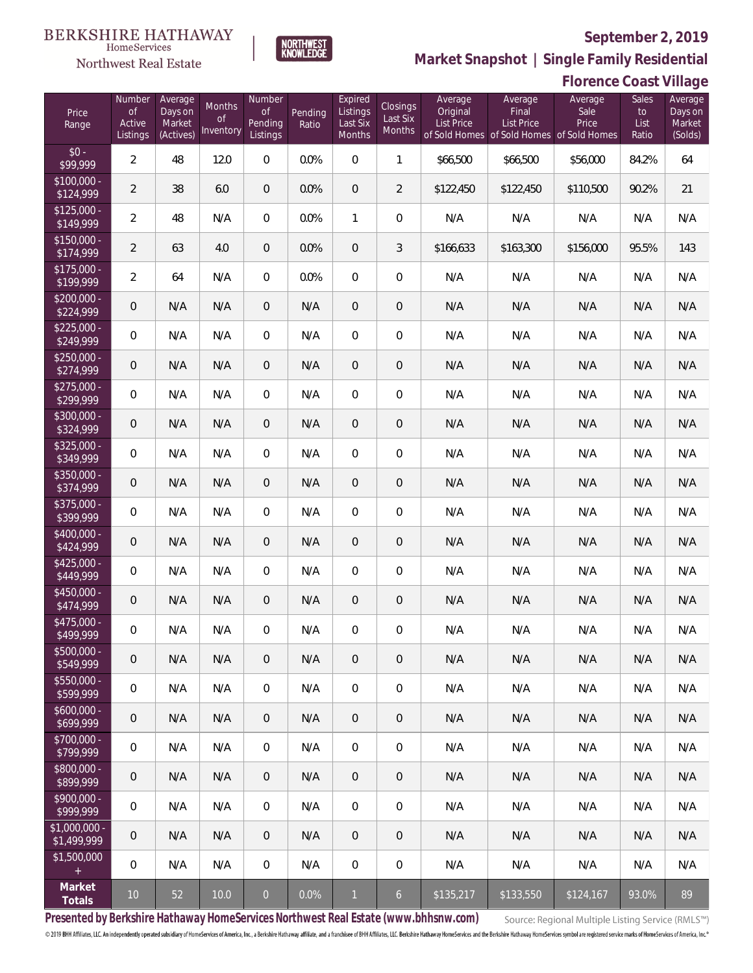**Florence Coast Village**



**Market Snapshot | Single Family Residential**

### Northwest Real Estate Number Average

HomeServices

| Price<br>Range               | Number<br><b>of</b><br>Active<br>Listings | Average<br>Days on<br>Market<br>(Actives) | Months<br>Οf<br>Inventory | Number<br><b>of</b><br>Pending<br>Listings | Pending<br>Ratio | Expired<br>Listings<br>Last Six<br>Months | Closings<br>Last Six<br>Months | Average<br>Original<br>List Price | Average<br>Final<br><b>List Price</b><br>of Sold Homes of Sold Homes of Sold Homes | Average<br>Sale<br>Price | Sales<br>to<br>List<br>Ratio | Average<br>Days on<br>Market<br>(Solds) |
|------------------------------|-------------------------------------------|-------------------------------------------|---------------------------|--------------------------------------------|------------------|-------------------------------------------|--------------------------------|-----------------------------------|------------------------------------------------------------------------------------|--------------------------|------------------------------|-----------------------------------------|
| $$0 -$<br>\$99,999           | $\overline{2}$                            | 48                                        | 12.0                      | $\overline{0}$                             | 0.0%             | $\overline{0}$                            | $\mathbf{1}$                   | \$66,500                          | \$66,500                                                                           | \$56,000                 | 84.2%                        | 64                                      |
| $$100,000 -$<br>\$124,999    | $\overline{2}$                            | 38                                        | 6.0                       | $\overline{0}$                             | 0.0%             | $\overline{0}$                            | $\overline{2}$                 | \$122,450                         | \$122,450                                                                          | \$110,500                | 90.2%                        | 21                                      |
| $$125,000 -$<br>\$149,999    | $\overline{2}$                            | 48                                        | N/A                       | $\overline{0}$                             | 0.0%             | $\mathbf{1}$                              | 0                              | N/A                               | N/A                                                                                | N/A                      | N/A                          | N/A                                     |
| $$150,000 -$<br>\$174,999    | $\overline{2}$                            | 63                                        | 4.0                       | $\overline{0}$                             | 0.0%             | $\overline{0}$                            | 3                              | \$166,633                         | \$163,300                                                                          | \$156,000                | 95.5%                        | 143                                     |
| $$175,000 -$<br>\$199,999    | $\overline{2}$                            | 64                                        | N/A                       | $\overline{0}$                             | 0.0%             | $\overline{0}$                            | 0                              | N/A                               | N/A                                                                                | N/A                      | N/A                          | N/A                                     |
| $$200,000 -$<br>\$224,999    | $\overline{0}$                            | N/A                                       | N/A                       | $\overline{0}$                             | N/A              | $\overline{0}$                            | 0                              | N/A                               | N/A                                                                                | N/A                      | N/A                          | N/A                                     |
| $$225,000 -$<br>\$249,999    | $\mathbf 0$                               | N/A                                       | N/A                       | $\overline{0}$                             | N/A              | $\overline{0}$                            | 0                              | N/A                               | N/A                                                                                | N/A                      | N/A                          | N/A                                     |
| $$250,000 -$<br>\$274,999    | $\overline{0}$                            | N/A                                       | N/A                       | $\overline{0}$                             | N/A              | $\overline{0}$                            | 0                              | N/A                               | N/A                                                                                | N/A                      | N/A                          | N/A                                     |
| $$275,000 -$<br>\$299,999    | $\mathbf 0$                               | N/A                                       | N/A                       | $\overline{0}$                             | N/A              | $\overline{0}$                            | 0                              | N/A                               | N/A                                                                                | N/A                      | N/A                          | N/A                                     |
| \$300,000 -<br>\$324,999     | $\overline{0}$                            | N/A                                       | N/A                       | $\overline{0}$                             | N/A              | $\overline{0}$                            | 0                              | N/A                               | N/A                                                                                | N/A                      | N/A                          | N/A                                     |
| $$325,000 -$<br>\$349,999    | $\overline{0}$                            | N/A                                       | N/A                       | $\overline{0}$                             | N/A              | $\overline{0}$                            | 0                              | N/A                               | N/A                                                                                | N/A                      | N/A                          | N/A                                     |
| $$350,000 -$<br>\$374,999    | $\overline{0}$                            | N/A                                       | N/A                       | $\overline{0}$                             | N/A              | $\overline{0}$                            | 0                              | N/A                               | N/A                                                                                | N/A                      | N/A                          | N/A                                     |
| $$375,000 -$<br>\$399,999    | $\mathbf 0$                               | N/A                                       | N/A                       | $\overline{0}$                             | N/A              | $\overline{0}$                            | 0                              | N/A                               | N/A                                                                                | N/A                      | N/A                          | N/A                                     |
| $$400,000 -$<br>\$424,999    | $\overline{0}$                            | N/A                                       | N/A                       | $\overline{0}$                             | N/A              | $\overline{0}$                            | 0                              | N/A                               | N/A                                                                                | N/A                      | N/A                          | N/A                                     |
| $$425,000 -$<br>\$449,999    | $\overline{0}$                            | N/A                                       | N/A                       | $\overline{0}$                             | N/A              | $\overline{0}$                            | 0                              | N/A                               | N/A                                                                                | N/A                      | N/A                          | N/A                                     |
| $$450,000 -$<br>\$474,999    | $\overline{0}$                            | N/A                                       | N/A                       | $\overline{0}$                             | N/A              | $\overline{0}$                            | 0                              | N/A                               | N/A                                                                                | N/A                      | N/A                          | N/A                                     |
| $$475,000 -$<br>\$499,999    | $\mathbf 0$                               | N/A                                       | N/A                       | 0                                          | N/A              | 0                                         | 0                              | N/A                               | N/A                                                                                | N/A                      | N/A                          | N/A                                     |
| \$500,000 -<br>\$549,999     | $\,0\,$                                   | N/A                                       | N/A                       | $\mathbf 0$                                | N/A              | $\boldsymbol{0}$                          | $\boldsymbol{0}$               | N/A                               | N/A                                                                                | N/A                      | N/A                          | N/A                                     |
| $$550,000 -$<br>\$599,999    | $\mathbf 0$                               | N/A                                       | N/A                       | $\mathbf 0$                                | N/A              | $\mathbf 0$                               | $\boldsymbol{0}$               | N/A                               | N/A                                                                                | N/A                      | N/A                          | N/A                                     |
| $$600,000 -$<br>\$699,999    | $\mathbf 0$                               | N/A                                       | N/A                       | $\mathbf 0$                                | N/A              | $\mathbf 0$                               | 0                              | N/A                               | N/A                                                                                | N/A                      | N/A                          | N/A                                     |
| \$700,000 -<br>\$799,999     | $\mathbf 0$                               | N/A                                       | N/A                       | $\mathbf 0$                                | N/A              | $\mathbf 0$                               | $\boldsymbol{0}$               | N/A                               | N/A                                                                                | N/A                      | N/A                          | N/A                                     |
| \$800,000 -<br>\$899,999     | $\mathbf 0$                               | N/A                                       | N/A                       | $\mathbf 0$                                | N/A              | $\mathbf 0$                               | 0                              | N/A                               | N/A                                                                                | N/A                      | N/A                          | N/A                                     |
| \$900,000 -<br>\$999,999     | $\mathbf 0$                               | N/A                                       | N/A                       | $\mathbf 0$                                | N/A              | $\mathbf 0$                               | $\boldsymbol{0}$               | N/A                               | N/A                                                                                | N/A                      | N/A                          | N/A                                     |
| \$1,000,000 -<br>\$1,499,999 | $\mathbf 0$                               | N/A                                       | N/A                       | $\mathbf 0$                                | N/A              | $\mathsf{O}\xspace$                       | 0                              | N/A                               | N/A                                                                                | N/A                      | N/A                          | N/A                                     |
| \$1,500,000<br>$\pm$         | $\mathbf 0$                               | N/A                                       | N/A                       | $\mathbf 0$                                | N/A              | $\mathbf 0$                               | 0                              | N/A                               | N/A                                                                                | N/A                      | N/A                          | N/A                                     |
| Market<br>Totals             | $10$                                      | 52                                        | 10.0                      | $\mathbf 0$                                | 0.0%             | $\overline{1}$                            | $\overline{6}$                 | \$135,217                         | \$133,550                                                                          | \$124,167                | 93.0%                        | 89                                      |

**Presented by Berkshire Hathaway HomeServices Northwest Real Estate (www.bhhsnw.com)**

Source: Regional Multiple Listing Service (RMLS™)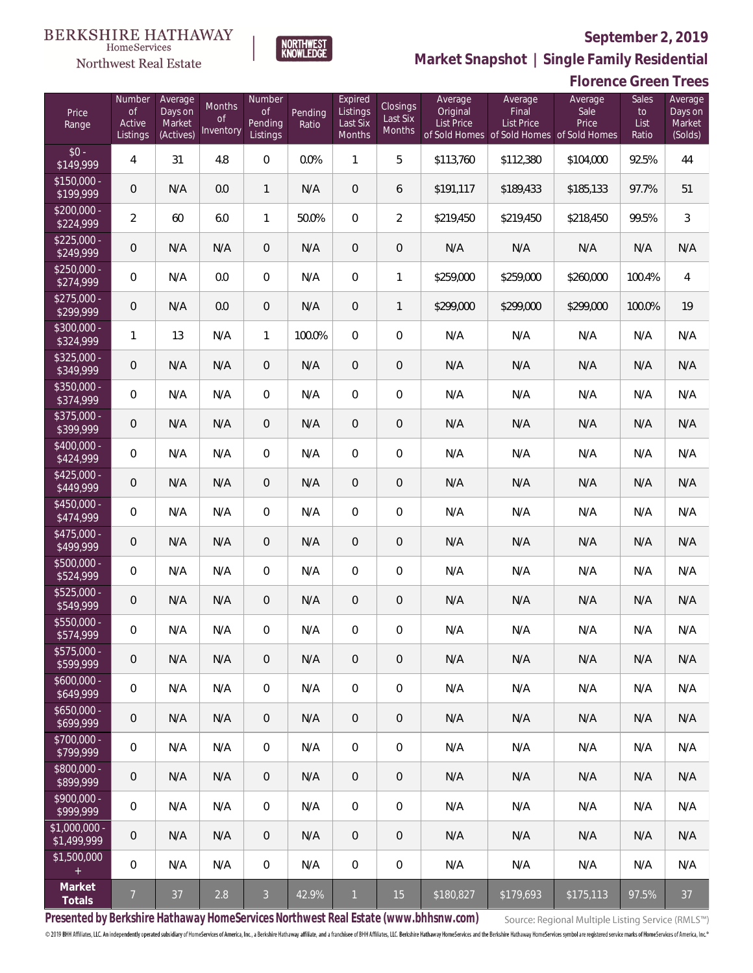

 $\label{lem:sevices} \textsc{Home} \textsc{Service} \textsc{s}$ 

**Market Snapshot | Single Family Residential**

# NORTHWEST<br>KNOWLEDGE

|                               |                                           |                                           |                                      |                                            |                  |                                           |                                |                                          |                                                                                    | <b>Florence Green Trees</b> |                              |                                         |
|-------------------------------|-------------------------------------------|-------------------------------------------|--------------------------------------|--------------------------------------------|------------------|-------------------------------------------|--------------------------------|------------------------------------------|------------------------------------------------------------------------------------|-----------------------------|------------------------------|-----------------------------------------|
| Price<br>Range                | Number<br><b>of</b><br>Active<br>Listings | Average<br>Days on<br>Market<br>(Actives) | Months<br><sub>of</sub><br>Inventory | Number<br><b>of</b><br>Pending<br>Listings | Pending<br>Ratio | Expired<br>Listings<br>Last Six<br>Months | Closings<br>Last Six<br>Months | Average<br>Original<br><b>List Price</b> | Average<br>Final<br><b>List Price</b><br>of Sold Homes of Sold Homes of Sold Homes | Average<br>Sale<br>Price    | Sales<br>to<br>List<br>Ratio | Average<br>Days on<br>Market<br>(Solds) |
| $$0 -$<br>\$149,999           | 4                                         | 31                                        | 4.8                                  | $\boldsymbol{0}$                           | 0.0%             | $\mathbf{1}$                              | 5                              | \$113,760                                | \$112,380                                                                          | \$104,000                   | 92.5%                        | 44                                      |
| $$150,000 -$<br>\$199,999     | $\mathsf{O}\xspace$                       | N/A                                       | 0.0                                  | $\mathbf{1}$                               | N/A              | 0                                         | 6                              | \$191,117                                | \$189,433                                                                          | \$185,133                   | 97.7%                        | 51                                      |
| $$200,000 -$<br>\$224,999     | $\overline{a}$                            | 60                                        | 6.0                                  | $\mathbf{1}$                               | 50.0%            | 0                                         | $\overline{2}$                 | \$219,450                                | \$219,450                                                                          | \$218,450                   | 99.5%                        | $\mathfrak{Z}$                          |
| $$225,000 -$<br>\$249,999     | $\mathsf{O}\xspace$                       | N/A                                       | N/A                                  | $\theta$                                   | N/A              | 0                                         | $\mathbf 0$                    | N/A                                      | N/A                                                                                | N/A                         | N/A                          | N/A                                     |
| $$250,000 -$<br>\$274,999     | $\mathbf 0$                               | N/A                                       | 0.0                                  | $\overline{0}$                             | N/A              | 0                                         | 1                              | \$259,000                                | \$259,000                                                                          | \$260,000                   | 100.4%                       | 4                                       |
| $$275,000 -$<br>\$299,999     | $\mathbf 0$                               | N/A                                       | 0.0                                  | 0                                          | N/A              | $\mathbf 0$                               | $\mathbf{1}$                   | \$299,000                                | \$299,000                                                                          | \$299,000                   | 100.0%                       | 19                                      |
| $$300,000 -$<br>\$324,999     | $\mathbf{1}$                              | 13                                        | N/A                                  | $\mathbf{1}$                               | 100.0%           | 0                                         | $\mathbf 0$                    | N/A                                      | N/A                                                                                | N/A                         | N/A                          | N/A                                     |
| \$325,000 -<br>\$349,999      | $\mathbf 0$                               | N/A                                       | N/A                                  | 0                                          | N/A              | $\mathbf 0$                               | $\mathbf 0$                    | N/A                                      | N/A                                                                                | N/A                         | N/A                          | N/A                                     |
| \$350,000 -<br>\$374,999      | $\mathbf 0$                               | N/A                                       | N/A                                  | $\overline{0}$                             | N/A              | 0                                         | $\mathbf 0$                    | N/A                                      | N/A                                                                                | N/A                         | N/A                          | N/A                                     |
| \$375,000 -<br>\$399,999      | $\mathbf 0$                               | N/A                                       | N/A                                  | 0                                          | N/A              | $\mathbf 0$                               | $\mathbf 0$                    | N/A                                      | N/A                                                                                | N/A                         | N/A                          | N/A                                     |
| \$400,000 -<br>\$424,999      | 0                                         | N/A                                       | N/A                                  | $\mathbf{0}$                               | N/A              | 0                                         | 0                              | N/A                                      | N/A                                                                                | N/A                         | N/A                          | N/A                                     |
| $$425,000 -$<br>\$449,999     | $\mathsf{O}\xspace$                       | N/A                                       | N/A                                  | $\theta$                                   | N/A              | 0                                         | $\mathbf 0$                    | N/A                                      | N/A                                                                                | N/A                         | N/A                          | N/A                                     |
| \$450,000 -<br>\$474,999      | 0                                         | N/A                                       | N/A                                  | 0                                          | N/A              | 0                                         | 0                              | N/A                                      | N/A                                                                                | N/A                         | N/A                          | N/A                                     |
| $$475,000 -$<br>\$499,999     | $\mathsf{O}\xspace$                       | N/A                                       | N/A                                  | $\theta$                                   | N/A              | 0                                         | $\mathsf{O}\xspace$            | N/A                                      | N/A                                                                                | N/A                         | N/A                          | N/A                                     |
| \$500,000 -<br>\$524,999      | 0                                         | N/A                                       | N/A                                  | 0                                          | N/A              | 0                                         | 0                              | N/A                                      | N/A                                                                                | N/A                         | N/A                          | N/A                                     |
| $$525,000 -$<br>\$549,999     | 0                                         | N/A                                       | N/A                                  | 0                                          | N/A              | 0                                         | 0                              | N/A                                      | N/A                                                                                | N/A                         | N/A                          | N/A                                     |
| \$550,000<br>\$574,999        | 0                                         | N/A                                       | N/A                                  | $\mathbf{0}$                               | N/A              | 0                                         | 0                              | N/A                                      | N/A                                                                                | N/A                         | N/A                          | N/A                                     |
| \$575,000 -<br>\$599,999      | $\theta$                                  | N/A                                       | N/A                                  | $\overline{0}$                             | N/A              | 0                                         | 0                              | N/A                                      | N/A                                                                                | N/A                         | N/A                          | N/A                                     |
| $$600,000 -$<br>\$649,999     | $\mathbf 0$                               | N/A                                       | N/A                                  | 0                                          | N/A              | 0                                         | 0                              | N/A                                      | N/A                                                                                | N/A                         | N/A                          | N/A                                     |
| $$650,000 -$<br>\$699,999     | $\mathbf 0$                               | N/A                                       | N/A                                  | $\overline{0}$                             | N/A              | 0                                         | 0                              | N/A                                      | N/A                                                                                | N/A                         | N/A                          | N/A                                     |
| $$700,000 -$<br>\$799,999     | $\mathbf 0$                               | N/A                                       | N/A                                  | $\overline{0}$                             | N/A              | 0                                         | 0                              | N/A                                      | N/A                                                                                | N/A                         | N/A                          | N/A                                     |
| $$800.000 -$<br>\$899,999     | $\overline{0}$                            | N/A                                       | N/A                                  | $\overline{0}$                             | N/A              | 0                                         | 0                              | N/A                                      | N/A                                                                                | N/A                         | N/A                          | N/A                                     |
| $$900,000 -$<br>\$999,999     | $\overline{0}$                            | N/A                                       | N/A                                  | $\overline{0}$                             | N/A              | 0                                         | 0                              | N/A                                      | N/A                                                                                | N/A                         | N/A                          | N/A                                     |
| $$1,000,000 -$<br>\$1,499,999 | $\overline{0}$                            | N/A                                       | N/A                                  | $\overline{0}$                             | N/A              | 0                                         | 0                              | N/A                                      | N/A                                                                                | N/A                         | N/A                          | N/A                                     |
| \$1,500,000<br>$+$            | $\overline{0}$                            | N/A                                       | N/A                                  | 0                                          | N/A              | $\mathbf{0}$                              | 0                              | N/A                                      | N/A                                                                                | N/A                         | N/A                          | N/A                                     |
| Market<br>Totals              | $\overline{7}$                            | 37                                        | 2.8                                  | 3 <sup>1</sup>                             | 42.9%            | $\mathbf{1}$                              | 15                             | \$180,827                                | \$179,693                                                                          | \$175,113                   | 97.5%                        | 37                                      |

**Presented by Berkshire Hathaway HomeServices Northwest Real Estate (www.bhhsnw.com)**

Source: Regional Multiple Listing Service (RMLS™)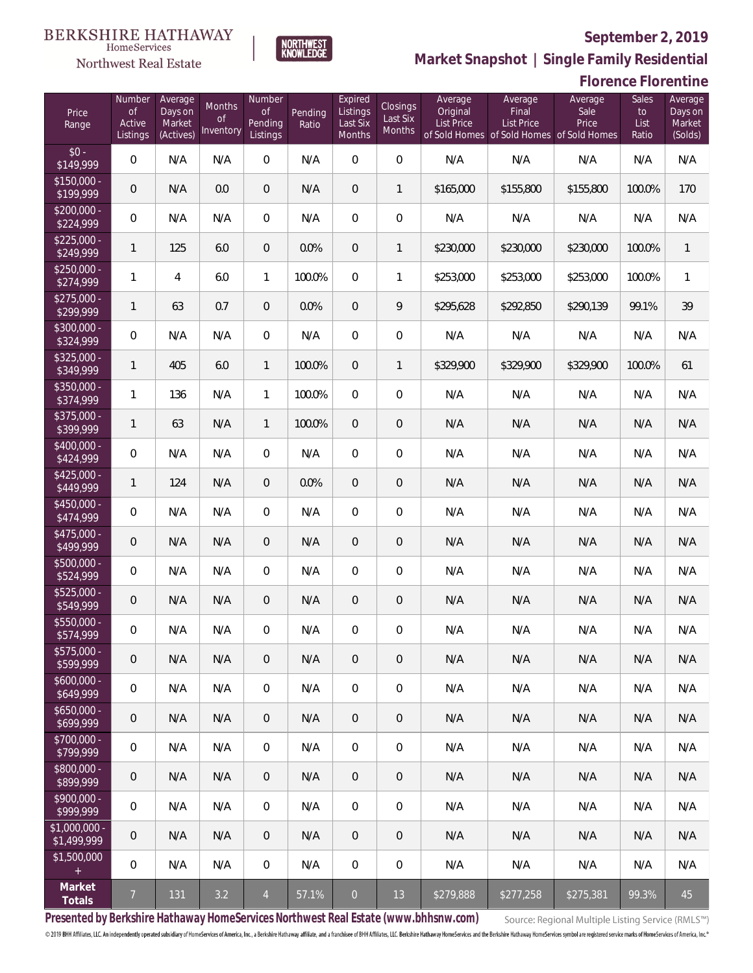**Florence Florentine**



**Market Snapshot | Single Family Residential**

### $\label{lem:sevices} \textsc{Home} \textsc{Service} \textsc{s}$ Northwest Real Estate

| Price<br>Range               | Number<br><b>of</b><br>Active<br>Listings | Average<br>Days on<br>Market<br>(Actives) | Months<br><b>of</b><br>Inventory | Number<br>$\mathsf{of}$<br>Pending<br>Listings | Pending<br>Ratio | Expired<br>Listings<br>Last Six<br>Months | Closings<br>Last Six<br>Months | Average<br>Original<br>List Price | Average<br>Final<br>List Price<br>of Sold Homes of Sold Homes of Sold Homes | Average<br>Sale<br>Price | Sales<br>to<br>List<br>Ratio | Average<br>Days on<br>Market<br>(Solds) |
|------------------------------|-------------------------------------------|-------------------------------------------|----------------------------------|------------------------------------------------|------------------|-------------------------------------------|--------------------------------|-----------------------------------|-----------------------------------------------------------------------------|--------------------------|------------------------------|-----------------------------------------|
| $$0 -$<br>\$149,999          | 0                                         | N/A                                       | N/A                              | 0                                              | N/A              | $\overline{0}$                            | $\overline{0}$                 | N/A                               | N/A                                                                         | N/A                      | N/A                          | N/A                                     |
| $$150,000 -$<br>\$199,999    | $\mathbf 0$                               | N/A                                       | 0.0                              | 0                                              | N/A              | $\overline{0}$                            | $\mathbf{1}$                   | \$165,000                         | \$155,800                                                                   | \$155,800                | 100.0%                       | 170                                     |
| $$200,000 -$<br>\$224,999    | $\mathbf 0$                               | N/A                                       | N/A                              | 0                                              | N/A              | $\overline{0}$                            | $\mathbf 0$                    | N/A                               | N/A                                                                         | N/A                      | N/A                          | N/A                                     |
| $$225,000 -$<br>\$249,999    | $\mathbf{1}$                              | 125                                       | 6.0                              | 0                                              | 0.0%             | $\overline{0}$                            | $\mathbf{1}$                   | \$230,000                         | \$230,000                                                                   | \$230,000                | 100.0%                       | $\mathbf{1}$                            |
| $$250,000 -$<br>\$274,999    | 1                                         | $\overline{4}$                            | 6.0                              | $\mathbf{1}$                                   | 100.0%           | $\mathbf{0}$                              | $\mathbf{1}$                   | \$253,000                         | \$253,000                                                                   | \$253,000                | 100.0%                       | $\mathbf{1}$                            |
| $$275,000 -$<br>\$299,999    | $\mathbf{1}$                              | 63                                        | 0.7                              | 0                                              | 0.0%             | $\overline{0}$                            | 9                              | \$295,628                         | \$292,850                                                                   | \$290,139                | 99.1%                        | 39                                      |
| $$300,000 -$<br>\$324,999    | $\boldsymbol{0}$                          | N/A                                       | N/A                              | $\boldsymbol{0}$                               | N/A              | $\overline{0}$                            | $\mathbf 0$                    | N/A                               | N/A                                                                         | N/A                      | N/A                          | N/A                                     |
| $$325,000 -$<br>\$349,999    | $\mathbf{1}$                              | 405                                       | 6.0                              | $\mathbf{1}$                                   | 100.0%           | $\overline{0}$                            | $\mathbf{1}$                   | \$329,900                         | \$329,900                                                                   | \$329,900                | 100.0%                       | 61                                      |
| \$350,000 -<br>\$374,999     | 1                                         | 136                                       | N/A                              | $\mathbf{1}$                                   | 100.0%           | $\overline{0}$                            | $\mathbf 0$                    | N/A                               | N/A                                                                         | N/A                      | N/A                          | N/A                                     |
| \$375,000 -<br>\$399,999     | $\mathbf{1}$                              | 63                                        | N/A                              | $\mathbf{1}$                                   | 100.0%           | $\overline{0}$                            | $\theta$                       | N/A                               | N/A                                                                         | N/A                      | N/A                          | N/A                                     |
| $$400,000 -$<br>\$424,999    | $\boldsymbol{0}$                          | N/A                                       | N/A                              | $\overline{0}$                                 | N/A              | $\overline{0}$                            | $\mathbf 0$                    | N/A                               | N/A                                                                         | N/A                      | N/A                          | N/A                                     |
| $$425,000 -$<br>\$449,999    | $\mathbf{1}$                              | 124                                       | N/A                              | 0                                              | 0.0%             | $\overline{0}$                            | $\overline{0}$                 | N/A                               | N/A                                                                         | N/A                      | N/A                          | N/A                                     |
| \$450,000 -<br>\$474,999     | $\boldsymbol{0}$                          | N/A                                       | N/A                              | $\overline{0}$                                 | N/A              | $\overline{0}$                            | $\mathbf 0$                    | N/A                               | N/A                                                                         | N/A                      | N/A                          | N/A                                     |
| $$475,000 -$<br>\$499,999    | $\mathbf 0$                               | N/A                                       | N/A                              | 0                                              | N/A              | $\overline{0}$                            | $\sqrt{a}$                     | N/A                               | N/A                                                                         | N/A                      | N/A                          | N/A                                     |
| $$500,000 -$<br>\$524,999    | $\boldsymbol{0}$                          | N/A                                       | N/A                              | $\overline{0}$                                 | N/A              | $\overline{0}$                            | $\boldsymbol{0}$               | N/A                               | N/A                                                                         | N/A                      | N/A                          | N/A                                     |
| $$525,000 -$<br>\$549,999    | $\theta$                                  | N/A                                       | N/A                              | 0                                              | N/A              | $\overline{0}$                            | $\theta$                       | N/A                               | N/A                                                                         | N/A                      | N/A                          | N/A                                     |
| \$550,000 -<br>\$574,999     | $\boldsymbol{0}$                          | N/A                                       | N/A                              | 0                                              | N/A              | 0                                         | $\boldsymbol{0}$               | N/A                               | N/A                                                                         | N/A                      | N/A                          | N/A                                     |
| $$575,000 -$<br>\$599,999    | $\mathbf 0$                               | N/A                                       | N/A                              | 0                                              | N/A              | $\overline{0}$                            | $\overline{0}$                 | N/A                               | N/A                                                                         | N/A                      | N/A                          | N/A                                     |
| $$600,000 -$<br>\$649,999    | $\boldsymbol{0}$                          | N/A                                       | N/A                              | $\boldsymbol{0}$                               | N/A              | $\mathbf 0$                               | $\boldsymbol{0}$               | N/A                               | N/A                                                                         | N/A                      | N/A                          | N/A                                     |
| $$650,000 -$<br>\$699,999    | $\mathsf{O}\xspace$                       | N/A                                       | N/A                              | $\overline{0}$                                 | N/A              | $\overline{0}$                            | $\overline{0}$                 | N/A                               | N/A                                                                         | N/A                      | N/A                          | N/A                                     |
| $$700,000 -$<br>\$799,999    | $\boldsymbol{0}$                          | N/A                                       | N/A                              | $\boldsymbol{0}$                               | N/A              | $\mathbf 0$                               | $\boldsymbol{0}$               | N/A                               | N/A                                                                         | N/A                      | N/A                          | N/A                                     |
| $$800,000 -$<br>\$899,999    | $\mathsf{O}\xspace$                       | N/A                                       | N/A                              | $\overline{0}$                                 | N/A              | $\overline{0}$                            | $\overline{0}$                 | N/A                               | N/A                                                                         | N/A                      | N/A                          | N/A                                     |
| $$900,000 -$<br>\$999,999    | $\boldsymbol{0}$                          | N/A                                       | N/A                              | $\boldsymbol{0}$                               | N/A              | $\mathbf 0$                               | $\boldsymbol{0}$               | N/A                               | N/A                                                                         | N/A                      | N/A                          | N/A                                     |
| \$1,000,000 -<br>\$1,499,999 | $\mathbf 0$                               | N/A                                       | N/A                              | $\overline{0}$                                 | N/A              | $\overline{0}$                            | $\overline{0}$                 | N/A                               | N/A                                                                         | N/A                      | N/A                          | N/A                                     |
| \$1,500,000<br>$\pm$         | $\boldsymbol{0}$                          | N/A                                       | N/A                              | $\boldsymbol{0}$                               | N/A              | $\mathbf 0$                               | $\boldsymbol{0}$               | N/A                               | N/A                                                                         | N/A                      | N/A                          | N/A                                     |
| Market<br>Totals             | $\overline{7}$                            | 131                                       | 3.2                              | $\overline{4}$                                 | 57.1%            | $\overline{0}$                            | 13                             | \$279,888                         | \$277,258                                                                   | \$275,381                | 99.3%                        | 45                                      |

**Presented by Berkshire Hathaway HomeServices Northwest Real Estate (www.bhhsnw.com)**

Source: Regional Multiple Listing Service (RMLS™)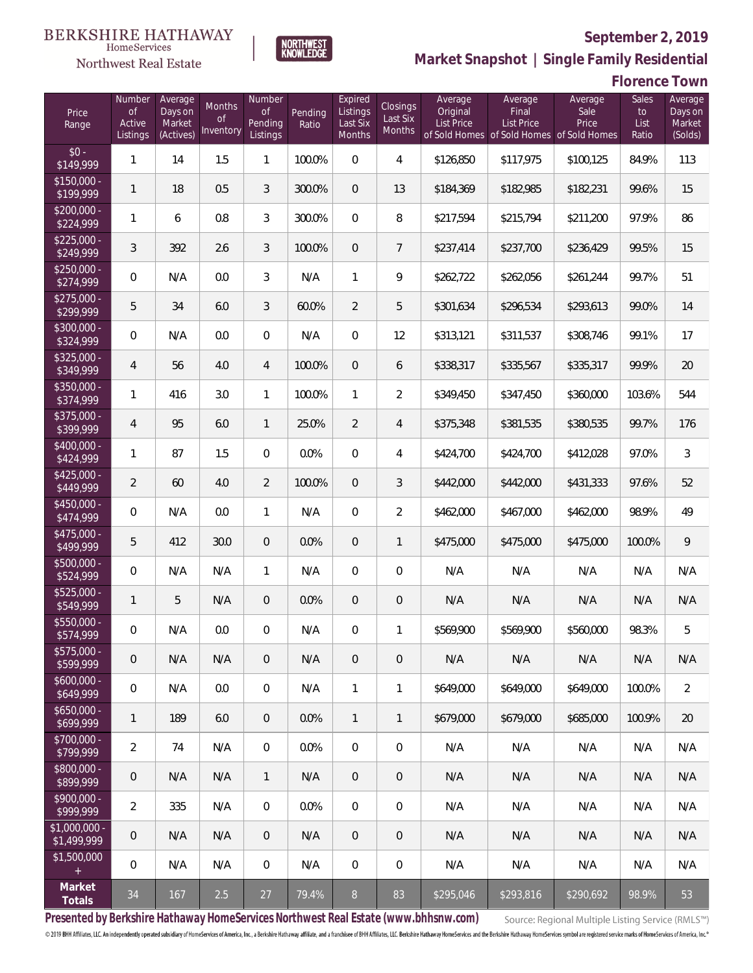

HomeServices

**Market Snapshot | Single Family Residential**

# NORTHWEST<br>KNOWLFDGE

|                               |                                           |                                           |                                         |                                     |                  |                                           |                                       |                                   |                                                                                    |                          | <b>Florence Town</b>         |                                         |
|-------------------------------|-------------------------------------------|-------------------------------------------|-----------------------------------------|-------------------------------------|------------------|-------------------------------------------|---------------------------------------|-----------------------------------|------------------------------------------------------------------------------------|--------------------------|------------------------------|-----------------------------------------|
| Price<br>Range                | Number<br><b>of</b><br>Active<br>Listings | Average<br>Days on<br>Market<br>(Actives) | <b>Months</b><br><b>of</b><br>Inventory | Number<br>of<br>Pending<br>Listings | Pending<br>Ratio | Expired<br>Listings<br>Last Six<br>Months | Closings<br>Last Six<br><b>Months</b> | Average<br>Original<br>List Price | Average<br>Final<br><b>List Price</b><br>of Sold Homes of Sold Homes of Sold Homes | Average<br>Sale<br>Price | Sales<br>to<br>List<br>Ratio | Average<br>Days on<br>Market<br>(Solds) |
| $$0 -$<br>\$149,999           | 1                                         | 14                                        | 1.5                                     | $\mathbf{1}$                        | 100.0%           | $\mathbf 0$                               | 4                                     | \$126,850                         | \$117,975                                                                          | \$100,125                | 84.9%                        | 113                                     |
| $$150,000 -$<br>\$199,999     | 1                                         | 18                                        | 0.5                                     | 3                                   | 300.0%           | $\overline{0}$                            | 13                                    | \$184,369                         | \$182,985                                                                          | \$182,231                | 99.6%                        | 15                                      |
| $$200,000 -$<br>\$224,999     | $\mathbf{1}$                              | 6                                         | 0.8                                     | 3                                   | 300.0%           | $\overline{0}$                            | 8                                     | \$217,594                         | \$215,794                                                                          | \$211,200                | 97.9%                        | 86                                      |
| $$225,000 -$<br>\$249,999     | 3                                         | 392                                       | 2.6                                     | 3                                   | 100.0%           | $\overline{0}$                            | 7                                     | \$237,414                         | \$237,700                                                                          | \$236,429                | 99.5%                        | 15                                      |
| $$250,000 -$<br>\$274,999     | $\mathbf 0$                               | N/A                                       | 0.0                                     | 3                                   | N/A              | $\mathbf{1}$                              | 9                                     | \$262,722                         | \$262,056                                                                          | \$261,244                | 99.7%                        | 51                                      |
| $$275,000 -$<br>\$299,999     | 5                                         | 34                                        | 6.0                                     | 3                                   | 60.0%            | $\overline{2}$                            | 5                                     | \$301,634                         | \$296,534                                                                          | \$293,613                | 99.0%                        | 14                                      |
| $$300,000 -$<br>\$324,999     | $\mathbf 0$                               | N/A                                       | 0.0                                     | $\overline{0}$                      | N/A              | $\boldsymbol{0}$                          | 12                                    | \$313,121                         | \$311,537                                                                          | \$308,746                | 99.1%                        | 17                                      |
| $$325,000 -$<br>\$349,999     | 4                                         | 56                                        | 4.0                                     | $\overline{4}$                      | 100.0%           | $\overline{0}$                            | 6                                     | \$338,317                         | \$335,567                                                                          | \$335,317                | 99.9%                        | 20                                      |
| $$350,000 -$<br>\$374,999     | 1                                         | 416                                       | 3.0                                     | $\mathbf{1}$                        | 100.0%           | $\mathbf{1}$                              | $\overline{2}$                        | \$349,450                         | \$347,450                                                                          | \$360,000                | 103.6%                       | 544                                     |
| $$375,000 -$<br>\$399,999     | $\overline{4}$                            | 95                                        | 6.0                                     | $\mathbf{1}$                        | 25.0%            | $\overline{2}$                            | $\overline{4}$                        | \$375,348                         | \$381,535                                                                          | \$380,535                | 99.7%                        | 176                                     |
| $$400.000 -$<br>\$424,999     | 1                                         | 87                                        | 1.5                                     | $\mathbf{0}$                        | 0.0%             | $\mathbf 0$                               | 4                                     | \$424,700                         | \$424,700                                                                          | \$412,028                | 97.0%                        | 3                                       |
| $$425,000 -$<br>\$449,999     | $\overline{2}$                            | 60                                        | 4.0                                     | $\overline{2}$                      | 100.0%           | $\boldsymbol{0}$                          | $\sqrt{3}$                            | \$442,000                         | \$442,000                                                                          | \$431,333                | 97.6%                        | 52                                      |
| $$450,000 -$<br>\$474,999     | $\mathbf 0$                               | N/A                                       | 0.0                                     | 1                                   | N/A              | $\boldsymbol{0}$                          | $\sqrt{2}$                            | \$462,000                         | \$467,000                                                                          | \$462,000                | 98.9%                        | 49                                      |
| $$475,000 -$<br>\$499,999     | 5                                         | 412                                       | 30.0                                    | $\mathbf 0$                         | 0.0%             | $\boldsymbol{0}$                          | $\mathbf{1}$                          | \$475,000                         | \$475,000                                                                          | \$475,000                | 100.0%                       | 9                                       |
| \$500,000 -<br>\$524,999      | $\mathbf 0$                               | N/A                                       | N/A                                     | $\mathbf{1}$                        | N/A              | $\mathbf 0$                               | $\mathbf 0$                           | N/A                               | N/A                                                                                | N/A                      | N/A                          | N/A                                     |
| $$525,000 -$<br>\$549,999     | 1                                         | 5                                         | N/A                                     | $\overline{0}$                      | 0.0%             | $\mathbf 0$                               | 0                                     | N/A                               | N/A                                                                                | N/A                      | N/A                          | N/A                                     |
| $$550,000 -$<br>\$574,999     | $\mathbf{0}$                              | N/A                                       | 0.0                                     | $\overline{0}$                      | N/A              | 0                                         | 1                                     | \$569,900                         | \$569,900                                                                          | \$560,000                | 98.3%                        | 5                                       |
| $$575,000 -$<br>\$599,999     | $\mathbf 0$                               | N/A                                       | N/A                                     | $\overline{0}$                      | N/A              | $\overline{0}$                            | $\mathbf 0$                           | N/A                               | N/A                                                                                | N/A                      | N/A                          | N/A                                     |
| $$600,000 -$<br>\$649,999     | $\mathbf 0$                               | N/A                                       | 0.0                                     | $\boldsymbol{0}$                    | N/A              | $\mathbf{1}$                              | 1                                     | \$649,000                         | \$649,000                                                                          | \$649,000                | 100.0%                       | $\overline{2}$                          |
| $$650,000 -$<br>\$699,999     | 1                                         | 189                                       | 6.0                                     | $\overline{0}$                      | 0.0%             | $\mathbf{1}$                              | $\mathbf{1}$                          | \$679,000                         | \$679,000                                                                          | \$685,000                | 100.9%                       | 20                                      |
| $$700,000 -$<br>\$799,999     | 2                                         | 74                                        | N/A                                     | $\,0\,$                             | 0.0%             | $\overline{0}$                            | $\mathbf 0$                           | N/A                               | N/A                                                                                | N/A                      | N/A                          | N/A                                     |
| $$800,000 -$<br>\$899,999     | 0                                         | N/A                                       | N/A                                     | $\mathbf{1}$                        | N/A              | $\overline{0}$                            | $\mathbf 0$                           | N/A                               | N/A                                                                                | N/A                      | N/A                          | N/A                                     |
| $$900,000 -$<br>\$999,999     | 2                                         | 335                                       | N/A                                     | $\,0\,$                             | 0.0%             | $\overline{0}$                            | $\mathbf 0$                           | N/A                               | N/A                                                                                | N/A                      | N/A                          | N/A                                     |
| $$1,000,000 -$<br>\$1,499,999 | 0                                         | N/A                                       | N/A                                     | $\overline{0}$                      | N/A              | $\overline{0}$                            | $\mathbf 0$                           | N/A                               | N/A                                                                                | N/A                      | N/A                          | N/A                                     |
| \$1,500,000<br>$+$            | $\mathbf 0$                               | N/A                                       | N/A                                     | $\,0\,$                             | N/A              | 0                                         | $\mathbf 0$                           | N/A                               | N/A                                                                                | N/A                      | N/A                          | N/A                                     |
| Market<br>Totals              | 34                                        | 167                                       | 2.5                                     | 27                                  | 79.4%            | 8                                         | 83                                    | \$295,046                         | \$293,816                                                                          | \$290,692                | 98.9%                        | 53                                      |

**Presented by Berkshire Hathaway HomeServices Northwest Real Estate (www.bhhsnw.com)**

Source: Regional Multiple Listing Service (RMLS™)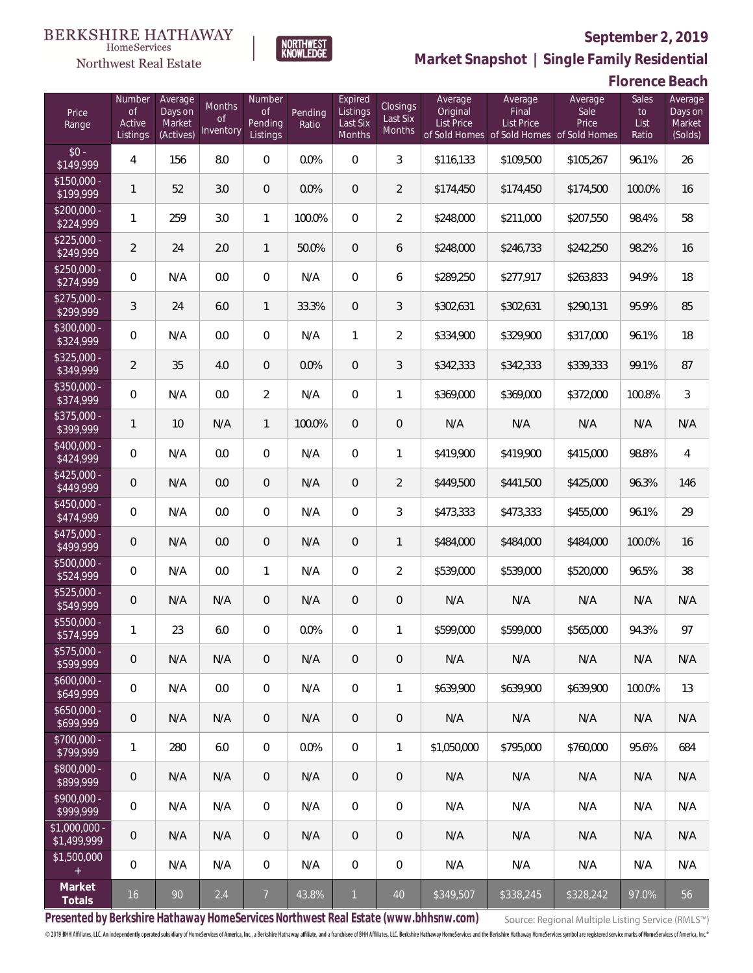

**NORTHWEST**<br>KNOWLEDGE

Northwest Real Estate

**Market Snapshot | Single Family Residential**

**Florence Beach**

| Price<br>Range                | Number<br>of<br>Active<br>Listings | Average<br>Days on<br>Market<br>(Actives) | <b>Months</b><br>Οf<br>Inventory | Number<br><b>of</b><br>Pending<br>Listings | Pending<br>Ratio | Expired<br>Listings<br>Last Six<br>Months | Closings<br>Last Six<br>Months | Average<br>Original<br><b>List Price</b> | Average<br>Final<br>List Price<br>of Sold Homes of Sold Homes | Average<br>Sale<br>Price<br>of Sold Homes | Sales<br>to<br>List<br>Ratio | Average<br>Days on<br>Market<br>(Solds) |
|-------------------------------|------------------------------------|-------------------------------------------|----------------------------------|--------------------------------------------|------------------|-------------------------------------------|--------------------------------|------------------------------------------|---------------------------------------------------------------|-------------------------------------------|------------------------------|-----------------------------------------|
| $$0 -$<br>\$149,999           | 4                                  | 156                                       | 8.0                              | $\Omega$                                   | 0.0%             | $\overline{0}$                            | 3                              | \$116,133                                | \$109,500                                                     | \$105,267                                 | 96.1%                        | 26                                      |
| $$150,000 -$<br>\$199,999     | 1                                  | 52                                        | 3.0                              | $\overline{0}$                             | 0.0%             | $\overline{0}$                            | $\overline{2}$                 | \$174,450                                | \$174,450                                                     | \$174,500                                 | 100.0%                       | 16                                      |
| $$200,000 -$<br>\$224,999     | 1                                  | 259                                       | 3.0                              | $\mathbf{1}$                               | 100.0%           | $\overline{0}$                            | $\overline{2}$                 | \$248,000                                | \$211,000                                                     | \$207,550                                 | 98.4%                        | 58                                      |
| $$225,000 -$<br>\$249,999     | $\overline{2}$                     | 24                                        | 2.0                              | $\mathbf{1}$                               | 50.0%            | $\overline{0}$                            | 6                              | \$248,000                                | \$246.733                                                     | \$242,250                                 | 98.2%                        | 16                                      |
| $$250,000 -$<br>\$274,999     | $\mathbf{0}$                       | N/A                                       | 0.0                              | $\overline{0}$                             | N/A              | $\overline{0}$                            | 6                              | \$289,250                                | \$277,917                                                     | \$263,833                                 | 94.9%                        | 18                                      |
| $$275,000 -$<br>\$299,999     | 3                                  | 24                                        | 6.0                              | $\mathbf{1}$                               | 33.3%            | $\overline{0}$                            | 3                              | \$302,631                                | \$302,631                                                     | \$290,131                                 | 95.9%                        | 85                                      |
| \$300,000 -<br>\$324,999      | $\overline{0}$                     | N/A                                       | 0.0                              | $\overline{0}$                             | N/A              | $\mathbf{1}$                              | $\overline{2}$                 | \$334,900                                | \$329,900                                                     | \$317,000                                 | 96.1%                        | 18                                      |
| $$325,000 -$<br>\$349,999     | $\overline{2}$                     | 35                                        | 4.0                              | $\overline{0}$                             | 0.0%             | $\overline{0}$                            | 3                              | \$342,333                                | \$342,333                                                     | \$339,333                                 | 99.1%                        | 87                                      |
| \$350,000 -<br>\$374,999      | $\overline{0}$                     | N/A                                       | 0.0                              | $\overline{2}$                             | N/A              | $\overline{0}$                            | $\mathbf{1}$                   | \$369,000                                | \$369,000                                                     | \$372,000                                 | 100.8%                       | 3                                       |
| \$375,000 -<br>\$399,999      | 1                                  | 10                                        | N/A                              | $\mathbf{1}$                               | 100.0%           | $\overline{0}$                            | $\mathbf 0$                    | N/A                                      | N/A                                                           | N/A                                       | N/A                          | N/A                                     |
| \$400,000 -<br>\$424,999      | $\mathbf{0}$                       | N/A                                       | 0.0                              | $\overline{0}$                             | N/A              | $\overline{0}$                            | $\mathbf{1}$                   | \$419,900                                | \$419,900                                                     | \$415,000                                 | 98.8%                        | 4                                       |
| $$425,000 -$<br>\$449,999     | 0                                  | N/A                                       | 0.0                              | $\overline{0}$                             | N/A              | $\overline{0}$                            | $\overline{2}$                 | \$449,500                                | \$441,500                                                     | \$425,000                                 | 96.3%                        | 146                                     |
| $$450,000 -$<br>\$474,999     | $\overline{0}$                     | N/A                                       | 0.0                              | $\overline{0}$                             | N/A              | $\overline{0}$                            | 3                              | \$473,333                                | \$473,333                                                     | \$455,000                                 | 96.1%                        | 29                                      |
| $$475,000 -$<br>\$499,999     | 0                                  | N/A                                       | 0.0                              | $\overline{0}$                             | N/A              | $\overline{0}$                            | $\mathbf{1}$                   | \$484,000                                | \$484,000                                                     | \$484,000                                 | 100.0%                       | 16                                      |
| $$500,000 -$<br>\$524,999     | $\overline{0}$                     | N/A                                       | 0.0                              | $\mathbf{1}$                               | N/A              | $\overline{0}$                            | $\overline{2}$                 | \$539,000                                | \$539,000                                                     | \$520,000                                 | 96.5%                        | 38                                      |
| $$525,000 -$<br>\$549,999     | 0                                  | N/A                                       | N/A                              | $\overline{0}$                             | N/A              | $\overline{0}$                            | $\mathbf 0$                    | N/A                                      | N/A                                                           | N/A                                       | N/A                          | N/A                                     |
| \$550,000 -<br>\$574,999      | 1                                  | 23                                        | 6.0                              | 0                                          | 0.0%             | $\overline{0}$                            | 1                              | \$599,000                                | \$599,000                                                     | \$565,000                                 | 94.3%                        | 97                                      |
| $$575,000 -$<br>\$599,999     | 0                                  | N/A                                       | N/A                              | $\overline{0}$                             | N/A              | $\overline{0}$                            | 0                              | N/A                                      | N/A                                                           | N/A                                       | N/A                          | N/A                                     |
| $$600,000 -$<br>\$649,999     | $\mathbf 0$                        | N/A                                       | 0.0                              | $\overline{0}$                             | N/A              | 0                                         | $\mathbf{1}$                   | \$639,900                                | \$639,900                                                     | \$639,900                                 | 100.0%                       | 13                                      |
| $$650,000 -$<br>\$699,999     | $\overline{0}$                     | N/A                                       | N/A                              | $\overline{0}$                             | N/A              | $\overline{0}$                            | 0                              | N/A                                      | N/A                                                           | N/A                                       | N/A                          | N/A                                     |
| $$700,000 -$<br>\$799,999     | 1                                  | 280                                       | 6.0                              | $\mathbf 0$                                | 0.0%             | $\boldsymbol{0}$                          | $\mathbf{1}$                   | \$1,050,000                              | \$795,000                                                     | \$760,000                                 | 95.6%                        | 684                                     |
| $$800,000 -$<br>\$899,999     | $\mathbf 0$                        | N/A                                       | N/A                              | $\overline{0}$                             | N/A              | $\overline{0}$                            | 0                              | N/A                                      | N/A                                                           | N/A                                       | N/A                          | N/A                                     |
| $$900,000 -$<br>\$999,999     | $\mathbf 0$                        | N/A                                       | N/A                              | $\mathbf 0$                                | N/A              | $\boldsymbol{0}$                          | 0                              | N/A                                      | N/A                                                           | N/A                                       | N/A                          | N/A                                     |
| $$1,000,000 -$<br>\$1,499,999 | $\overline{0}$                     | N/A                                       | N/A                              | $\overline{0}$                             | N/A              | $\overline{0}$                            | 0                              | N/A                                      | N/A                                                           | N/A                                       | N/A                          | N/A                                     |
| \$1,500,000<br>$\pm$          | $\mathbf 0$                        | N/A                                       | N/A                              | $\mathbf 0$                                | N/A              | $\mathbf 0$                               | 0                              | N/A                                      | N/A                                                           | N/A                                       | N/A                          | N/A                                     |
| Market<br>Totals              | 16                                 | 90                                        | 2.4                              | $\overline{7}$                             | 43.8%            | $\mathbf{1}$                              | 40                             | \$349,507                                | \$338,245                                                     | \$328,242                                 | 97.0%                        | 56                                      |

**Presented by Berkshire Hathaway HomeServices Northwest Real Estate (www.bhhsnw.com)**

Source: Regional Multiple Listing Service (RMLS™)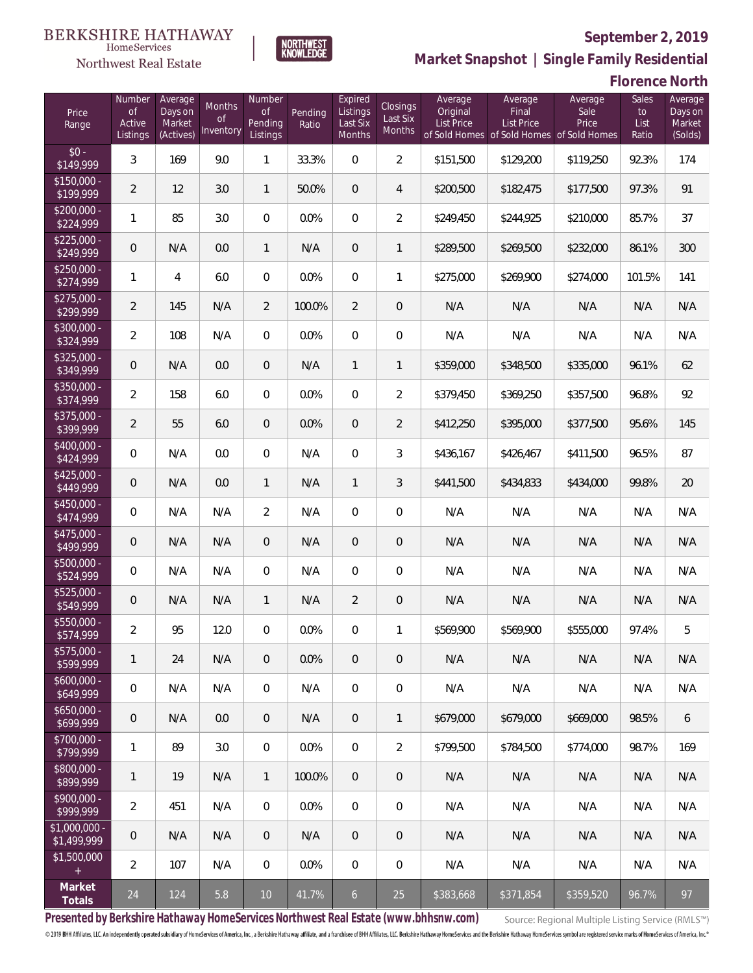

**NORTHWEST**<br>KNOWLEDGE

Northwest Real Estate

**Market Snapshot | Single Family Residential**

### **Florence North**

| Price<br>Range               | Number<br><b>of</b><br>Active<br>Listings | Average<br>Days on<br>Market<br>(Actives) | Months<br><b>of</b><br>Inventory | Number<br><b>of</b><br>Pending<br>Listings | Pending<br>Ratio | Expired<br>Listings<br>Last Six<br>Months | Closings<br>Last Six<br>Months | Average<br>Original<br><b>List Price</b> | Average<br>Final<br><b>List Price</b><br>of Sold Homes of Sold Homes of Sold Homes | Average<br>Sale<br>Price | Sales<br>to<br>List<br>Ratio | Average<br>Days on<br>Market<br>(Solds) |
|------------------------------|-------------------------------------------|-------------------------------------------|----------------------------------|--------------------------------------------|------------------|-------------------------------------------|--------------------------------|------------------------------------------|------------------------------------------------------------------------------------|--------------------------|------------------------------|-----------------------------------------|
| $$0 -$<br>\$149,999          | 3                                         | 169                                       | 9.0                              | $\mathbf{1}$                               | 33.3%            | $\mathbf 0$                               | $\overline{2}$                 | \$151,500                                | \$129,200                                                                          | \$119,250                | 92.3%                        | 174                                     |
| $$150,000 -$<br>\$199,999    | $\overline{2}$                            | 12                                        | 3.0                              | $\mathbf{1}$                               | 50.0%            | $\overline{0}$                            | $\overline{4}$                 | \$200,500                                | \$182,475                                                                          | \$177,500                | 97.3%                        | 91                                      |
| $$200,000 -$<br>\$224,999    | $\mathbf{1}$                              | 85                                        | 3.0                              | $\mathbf 0$                                | 0.0%             | $\mathbf 0$                               | $\overline{2}$                 | \$249,450                                | \$244,925                                                                          | \$210,000                | 85.7%                        | 37                                      |
| $$225,000 -$<br>\$249,999    | 0                                         | N/A                                       | 0.0                              | $\mathbf{1}$                               | N/A              | $\overline{0}$                            | $\mathbf{1}$                   | \$289,500                                | \$269,500                                                                          | \$232,000                | 86.1%                        | 300                                     |
| $$250,000 -$<br>\$274,999    | $\mathbf{1}$                              | $\overline{4}$                            | 6.0                              | $\mathbf 0$                                | 0.0%             | $\mathbf 0$                               | $\mathbf{1}$                   | \$275,000                                | \$269,900                                                                          | \$274,000                | 101.5%                       | 141                                     |
| $$275,000 -$<br>\$299,999    | $\overline{2}$                            | 145                                       | N/A                              | $\overline{2}$                             | 100.0%           | $\overline{2}$                            | $\mathbf 0$                    | N/A                                      | N/A                                                                                | N/A                      | N/A                          | N/A                                     |
| $$300,000 -$<br>\$324,999    | 2                                         | 108                                       | N/A                              | $\overline{0}$                             | 0.0%             | $\overline{0}$                            | $\overline{0}$                 | N/A                                      | N/A                                                                                | N/A                      | N/A                          | N/A                                     |
| $$325,000 -$<br>\$349,999    | 0                                         | N/A                                       | 0.0                              | $\overline{0}$                             | N/A              | $\mathbf{1}$                              | $\mathbf{1}$                   | \$359,000                                | \$348,500                                                                          | \$335,000                | 96.1%                        | 62                                      |
| $$350,000 -$<br>\$374,999    | 2                                         | 158                                       | 6.0                              | $\overline{0}$                             | 0.0%             | $\overline{0}$                            | $\overline{2}$                 | \$379,450                                | \$369,250                                                                          | \$357,500                | 96.8%                        | 92                                      |
| \$375,000 -<br>\$399,999     | $\overline{2}$                            | 55                                        | 6.0                              | $\overline{0}$                             | 0.0%             | $\overline{0}$                            | $\overline{2}$                 | \$412,250                                | \$395,000                                                                          | \$377,500                | 95.6%                        | 145                                     |
| $$400,000 -$<br>\$424,999    | 0                                         | N/A                                       | 0.0                              | $\mathbf 0$                                | N/A              | $\overline{0}$                            | 3                              | \$436,167                                | \$426,467                                                                          | \$411,500                | 96.5%                        | 87                                      |
| $$425,000 -$<br>\$449,999    | 0                                         | N/A                                       | 0.0                              | $\mathbf{1}$                               | N/A              | $\mathbf{1}$                              | 3                              | \$441,500                                | \$434,833                                                                          | \$434,000                | 99.8%                        | 20                                      |
| $$450,000 -$<br>\$474,999    | 0                                         | N/A                                       | N/A                              | $\overline{2}$                             | N/A              | $\overline{0}$                            | $\mathbf 0$                    | N/A                                      | N/A                                                                                | N/A                      | N/A                          | N/A                                     |
| $$475,000 -$<br>\$499,999    | 0                                         | N/A                                       | N/A                              | $\overline{0}$                             | N/A              | $\overline{0}$                            | $\mathbf 0$                    | N/A                                      | N/A                                                                                | N/A                      | N/A                          | N/A                                     |
| $$500,000 -$<br>\$524,999    | 0                                         | N/A                                       | N/A                              | $\overline{0}$                             | N/A              | $\Omega$                                  | $\overline{0}$                 | N/A                                      | N/A                                                                                | N/A                      | N/A                          | N/A                                     |
| \$525,000 -<br>\$549,999     | 0                                         | N/A                                       | N/A                              | $\mathbf{1}$                               | N/A              | $\overline{2}$                            | $\mathbf 0$                    | N/A                                      | N/A                                                                                | N/A                      | N/A                          | N/A                                     |
| $$550,000 -$<br>\$574,999    | $\overline{2}$                            | 95                                        | 12.0                             | $\overline{0}$                             | 0.0%             | $\overline{0}$                            | $\mathbf{1}$                   | \$569,900                                | \$569,900                                                                          | \$555,000                | 97.4%                        | 5                                       |
| \$575,000 -<br>\$599,999     | 1                                         | 24                                        | N/A                              | $\overline{0}$                             | 0.0%             | $\overline{0}$                            | $\overline{0}$                 | N/A                                      | N/A                                                                                | N/A                      | N/A                          | N/A                                     |
| $$600,000 -$<br>\$649,999    | 0                                         | N/A                                       | N/A                              | $\overline{0}$                             | N/A              | $\overline{0}$                            | $\boldsymbol{0}$               | N/A                                      | N/A                                                                                | N/A                      | N/A                          | N/A                                     |
| $$650,000 -$<br>\$699,999    | 0                                         | N/A                                       | 0.0                              | $\overline{0}$                             | N/A              | $\sqrt{0}$                                | $\mathbf{1}$                   | \$679,000                                | \$679,000                                                                          | \$669,000                | 98.5%                        | 6                                       |
| \$700,000 -<br>\$799,999     | 1                                         | 89                                        | 3.0                              | $\overline{0}$                             | 0.0%             | $\overline{0}$                            | $\overline{2}$                 | \$799,500                                | \$784,500                                                                          | \$774,000                | 98.7%                        | 169                                     |
| \$800,000 -<br>\$899,999     | 1                                         | 19                                        | N/A                              | $\mathbf{1}$                               | 100.0%           | $\sqrt{0}$                                | $\mathbf 0$                    | N/A                                      | N/A                                                                                | N/A                      | N/A                          | N/A                                     |
| $$900,000 -$<br>\$999,999    | $\overline{2}$                            | 451                                       | N/A                              | $\mathbf 0$                                | 0.0%             | $\mathbf 0$                               | $\mathbf 0$                    | N/A                                      | N/A                                                                                | N/A                      | N/A                          | N/A                                     |
| \$1,000,000 -<br>\$1,499,999 | 0                                         | N/A                                       | N/A                              | $\overline{0}$                             | N/A              | $\sqrt{0}$                                | $\overline{0}$                 | N/A                                      | N/A                                                                                | N/A                      | N/A                          | N/A                                     |
| \$1,500,000<br>$\pm$         | $\overline{2}$                            | 107                                       | N/A                              | $\mathbf 0$                                | 0.0%             | $\mathbf 0$                               | $\mathbf 0$                    | N/A                                      | N/A                                                                                | N/A                      | N/A                          | N/A                                     |
| Market<br>Totals             | 24                                        | 124                                       | 5.8                              | $10$                                       | 41.7%            | 6 <sup>1</sup>                            | 25                             | \$383,668                                | \$371,854                                                                          | \$359,520                | 96.7%                        | 97                                      |

**Presented by Berkshire Hathaway HomeServices Northwest Real Estate (www.bhhsnw.com)**

Source: Regional Multiple Listing Service (RMLS™)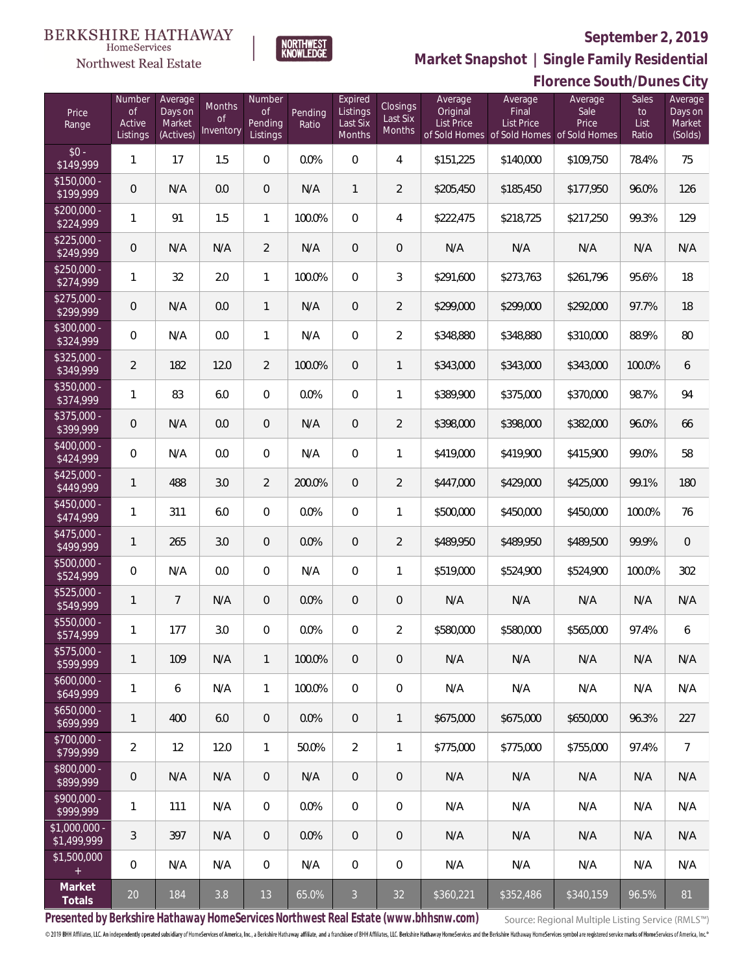### **BERKSHIRE HATHAWAY** HomeServices

# Northwest Real Estate

### **September 2, 2019**



**Market Snapshot | Single Family Residential**

### **Florence South/Dunes City**

| Price<br>Range               | Number<br><b>of</b><br>Active<br>Listings | Average<br>Days on<br>Market<br>(Actives) | Months<br>Οf<br>Inventory | Number<br>Οf<br>Pending<br>Listings | Pending<br>Ratio | Expired<br>Listings<br>Last Six<br>Months | <b>Closings</b><br>Last Six<br>Months | Average<br>Original<br><b>List Price</b> | Average<br>Final<br>List Price<br>of Sold Homes of Sold Homes of Sold Homes | Average<br>Sale<br>Price | Sales<br>to<br>List<br>Ratio | Average<br>Days on<br>Market<br>(Solds) |
|------------------------------|-------------------------------------------|-------------------------------------------|---------------------------|-------------------------------------|------------------|-------------------------------------------|---------------------------------------|------------------------------------------|-----------------------------------------------------------------------------|--------------------------|------------------------------|-----------------------------------------|
| $$0 -$<br>$\sqrt{$149,999}$  | $\mathbf{1}$                              | 17                                        | 1.5                       | $\overline{0}$                      | 0.0%             | $\overline{0}$                            | $\overline{4}$                        | \$151,225                                | \$140,000                                                                   | \$109,750                | 78.4%                        | 75                                      |
| $$150,000 -$<br>\$199,999    | $\overline{0}$                            | N/A                                       | 0.0                       | $\overline{0}$                      | N/A              | $\mathbf{1}$                              | $\overline{2}$                        | \$205,450                                | \$185,450                                                                   | \$177,950                | 96.0%                        | 126                                     |
| $$200,000 -$<br>\$224,999    | 1                                         | 91                                        | 1.5                       | $\mathbf{1}$                        | 100.0%           | $\overline{0}$                            | $\overline{4}$                        | \$222,475                                | \$218,725                                                                   | \$217,250                | 99.3%                        | 129                                     |
| $$225,000 -$<br>\$249,999    | $\overline{0}$                            | N/A                                       | N/A                       | $\overline{2}$                      | N/A              | $\overline{0}$                            | $\mathbf 0$                           | N/A                                      | N/A                                                                         | N/A                      | N/A                          | N/A                                     |
| $$250,000 -$<br>\$274,999    | 1                                         | 32                                        | 2.0                       | $\mathbf{1}$                        | 100.0%           | $\Omega$                                  | $\mathfrak{Z}$                        | \$291,600                                | \$273,763                                                                   | \$261,796                | 95.6%                        | 18                                      |
| $$275,000 -$<br>\$299,999    | $\overline{0}$                            | N/A                                       | 0.0                       | $\mathbf{1}$                        | N/A              | $\overline{0}$                            | $\overline{2}$                        | \$299,000                                | \$299,000                                                                   | \$292,000                | 97.7%                        | 18                                      |
| $$300,000 -$<br>\$324,999    | $\overline{0}$                            | N/A                                       | 0.0                       | $\mathbf{1}$                        | N/A              | $\Omega$                                  | $\overline{2}$                        | \$348,880                                | \$348,880                                                                   | \$310,000                | 88.9%                        | 80                                      |
| $$325,000 -$<br>\$349,999    | $\overline{2}$                            | 182                                       | 12.0                      | $\overline{2}$                      | 100.0%           | $\overline{0}$                            | $\mathbf{1}$                          | \$343,000                                | \$343,000                                                                   | \$343,000                | 100.0%                       | 6                                       |
| $$350,000 -$<br>\$374,999    | 1                                         | 83                                        | 6.0                       | $\overline{0}$                      | 0.0%             | $\Omega$                                  | $\mathbf{1}$                          | \$389,900                                | \$375,000                                                                   | \$370,000                | 98.7%                        | 94                                      |
| $$375,000 -$<br>\$399,999    | $\overline{0}$                            | N/A                                       | 0.0                       | $\overline{0}$                      | N/A              | $\overline{0}$                            | $\overline{2}$                        | \$398,000                                | \$398,000                                                                   | \$382,000                | 96.0%                        | 66                                      |
| $$400,000 -$<br>\$424,999    | $\overline{0}$                            | N/A                                       | 0.0                       | $\overline{0}$                      | N/A              | $\Omega$                                  | 1                                     | \$419,000                                | \$419,900                                                                   | \$415,900                | 99.0%                        | 58                                      |
| $$425,000 -$<br>\$449,999    | 1                                         | 488                                       | 3.0                       | $\overline{2}$                      | 200.0%           | $\overline{0}$                            | $\overline{2}$                        | \$447,000                                | \$429,000                                                                   | \$425,000                | 99.1%                        | 180                                     |
| $$450,000 -$<br>\$474,999    | 1                                         | 311                                       | 6.0                       | $\overline{0}$                      | 0.0%             | $\Omega$                                  | 1                                     | \$500,000                                | \$450,000                                                                   | \$450,000                | 100.0%                       | 76                                      |
| $$475,000 -$<br>\$499,999    | 1                                         | 265                                       | 3.0                       | $\overline{0}$                      | 0.0%             | $\overline{0}$                            | $\overline{2}$                        | \$489,950                                | \$489,950                                                                   | \$489,500                | 99.9%                        | $\sqrt{a}$                              |
| $$500,000 -$<br>\$524,999    | 0                                         | N/A                                       | 0.0                       | $\overline{0}$                      | N/A              | $\Omega$                                  | 1                                     | \$519,000                                | \$524,900                                                                   | \$524,900                | 100.0%                       | 302                                     |
| $$525,000 -$<br>\$549,999    | $\mathbf{1}$                              | $7\overline{ }$                           | N/A                       | $\overline{0}$                      | 0.0%             | $\overline{0}$                            | $\mathbf 0$                           | N/A                                      | N/A                                                                         | N/A                      | N/A                          | N/A                                     |
| $$550,000 -$<br>\$574,999    | 1                                         | 177                                       | 3.0                       | $\circ$                             | 0.0%             | $\overline{0}$                            | $\overline{2}$                        | \$580,000                                | \$580,000                                                                   | \$565,000                | 97.4%                        | 6                                       |
| \$575,000 -<br>\$599,999     | 1                                         | 109                                       | N/A                       | $\mathbf{1}$                        | 100.0%           | $\mathbf 0$                               | $\mathbf 0$                           | N/A                                      | N/A                                                                         | N/A                      | N/A                          | N/A                                     |
| $$600,000 -$<br>\$649,999    | 1                                         | 6                                         | N/A                       | $\mathbf{1}$                        | 100.0%           | $\overline{0}$                            | $\mathbf 0$                           | N/A                                      | N/A                                                                         | N/A                      | N/A                          | N/A                                     |
| $$650,000 -$<br>\$699,999    | 1                                         | 400                                       | 6.0                       | $\overline{0}$                      | 0.0%             | $\mathbf{0}$                              | $\mathbf{1}$                          | \$675,000                                | \$675,000                                                                   | \$650,000                | 96.3%                        | 227                                     |
| $$700,000 -$<br>\$799,999    | $\overline{2}$                            | 12                                        | 12.0                      | $\mathbf{1}$                        | 50.0%            | $\overline{2}$                            | $\mathbf{1}$                          | \$775,000                                | \$775,000                                                                   | \$755,000                | 97.4%                        | $\overline{7}$                          |
| \$800,000 -<br>\$899,999     | $\boldsymbol{0}$                          | N/A                                       | N/A                       | $\overline{0}$                      | N/A              | $\mathbf{0}$                              | $\mathbf 0$                           | N/A                                      | N/A                                                                         | N/A                      | N/A                          | N/A                                     |
| $$900,000 -$<br>\$999,999    | 1                                         | 111                                       | N/A                       | $\overline{0}$                      | 0.0%             | $\mathbf 0$                               | $\mathbf 0$                           | N/A                                      | N/A                                                                         | N/A                      | N/A                          | N/A                                     |
| \$1,000,000 -<br>\$1,499,999 | 3                                         | 397                                       | N/A                       | $\overline{0}$                      | 0.0%             | $\overline{0}$                            | $\mathbf 0$                           | N/A                                      | N/A                                                                         | N/A                      | N/A                          | N/A                                     |
| \$1,500,000<br>$\pm$         | $\mathbf 0$                               | N/A                                       | N/A                       | $\mathbf 0$                         | N/A              | $\boldsymbol{0}$                          | $\mathbf 0$                           | N/A                                      | N/A                                                                         | N/A                      | N/A                          | N/A                                     |
| Market<br>Totals             | $20\,$                                    | 184                                       | 3.8                       | 13                                  | 65.0%            | $\mathbf{3}$                              | 32                                    | \$360,221                                | \$352,486                                                                   | \$340,159                | 96.5%                        | 81                                      |

**Presented by Berkshire Hathaway HomeServices Northwest Real Estate (www.bhhsnw.com)**

Source: Regional Multiple Listing Service (RMLS™)